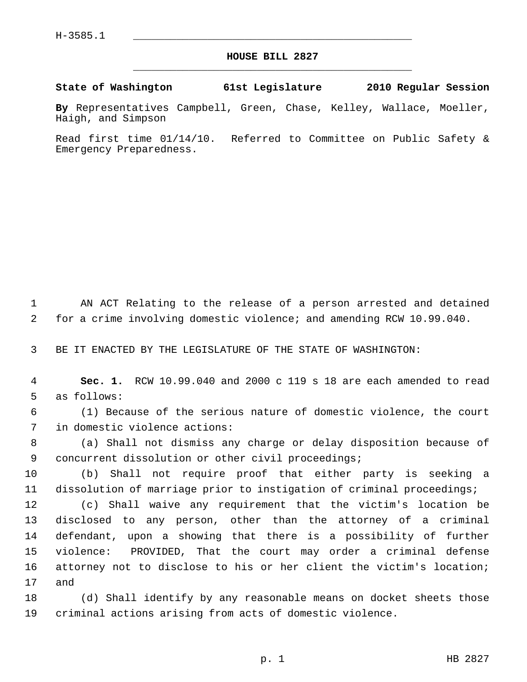## **HOUSE BILL 2827** \_\_\_\_\_\_\_\_\_\_\_\_\_\_\_\_\_\_\_\_\_\_\_\_\_\_\_\_\_\_\_\_\_\_\_\_\_\_\_\_\_\_\_\_\_

**State of Washington 61st Legislature 2010 Regular Session**

**By** Representatives Campbell, Green, Chase, Kelley, Wallace, Moeller, Haigh, and Simpson

Read first time 01/14/10. Referred to Committee on Public Safety & Emergency Preparedness.

 1 AN ACT Relating to the release of a person arrested and detained 2 for a crime involving domestic violence; and amending RCW 10.99.040.

3 BE IT ENACTED BY THE LEGISLATURE OF THE STATE OF WASHINGTON:

 4 **Sec. 1.** RCW 10.99.040 and 2000 c 119 s 18 are each amended to read 5 as follows:

 6 (1) Because of the serious nature of domestic violence, the court 7 in domestic violence actions:

 8 (a) Shall not dismiss any charge or delay disposition because of 9 concurrent dissolution or other civil proceedings;

10 (b) Shall not require proof that either party is seeking a 11 dissolution of marriage prior to instigation of criminal proceedings;

12 (c) Shall waive any requirement that the victim's location be 13 disclosed to any person, other than the attorney of a criminal 14 defendant, upon a showing that there is a possibility of further 15 violence: PROVIDED, That the court may order a criminal defense 16 attorney not to disclose to his or her client the victim's location; 17 and

18 (d) Shall identify by any reasonable means on docket sheets those 19 criminal actions arising from acts of domestic violence.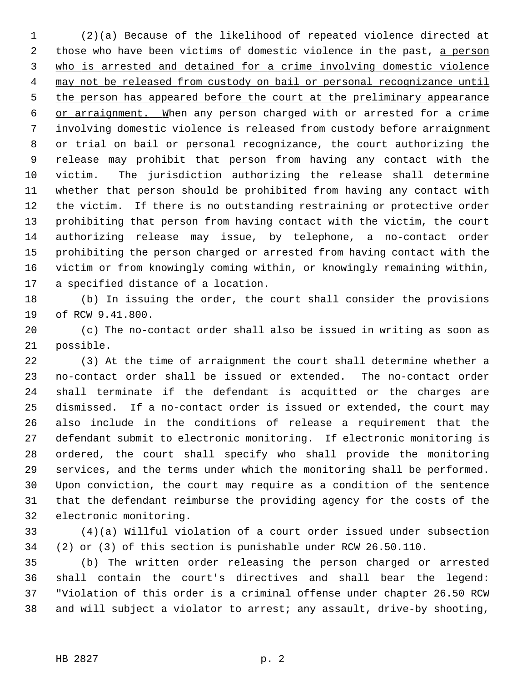1 (2)(a) Because of the likelihood of repeated violence directed at 2 those who have been victims of domestic violence in the past, a person 3 who is arrested and detained for a crime involving domestic violence 4 may not be released from custody on bail or personal recognizance until 5 the person has appeared before the court at the preliminary appearance 6 or arraignment. When any person charged with or arrested for a crime 7 involving domestic violence is released from custody before arraignment 8 or trial on bail or personal recognizance, the court authorizing the 9 release may prohibit that person from having any contact with the 10 victim. The jurisdiction authorizing the release shall determine 11 whether that person should be prohibited from having any contact with 12 the victim. If there is no outstanding restraining or protective order 13 prohibiting that person from having contact with the victim, the court 14 authorizing release may issue, by telephone, a no-contact order 15 prohibiting the person charged or arrested from having contact with the 16 victim or from knowingly coming within, or knowingly remaining within, 17 a specified distance of a location.

18 (b) In issuing the order, the court shall consider the provisions 19 of RCW 9.41.800.

20 (c) The no-contact order shall also be issued in writing as soon as 21 possible.

22 (3) At the time of arraignment the court shall determine whether a 23 no-contact order shall be issued or extended. The no-contact order 24 shall terminate if the defendant is acquitted or the charges are 25 dismissed. If a no-contact order is issued or extended, the court may 26 also include in the conditions of release a requirement that the 27 defendant submit to electronic monitoring. If electronic monitoring is 28 ordered, the court shall specify who shall provide the monitoring 29 services, and the terms under which the monitoring shall be performed. 30 Upon conviction, the court may require as a condition of the sentence 31 that the defendant reimburse the providing agency for the costs of the 32 electronic monitoring.

33 (4)(a) Willful violation of a court order issued under subsection 34 (2) or (3) of this section is punishable under RCW 26.50.110.

35 (b) The written order releasing the person charged or arrested 36 shall contain the court's directives and shall bear the legend: 37 "Violation of this order is a criminal offense under chapter 26.50 RCW 38 and will subject a violator to arrest; any assault, drive-by shooting,